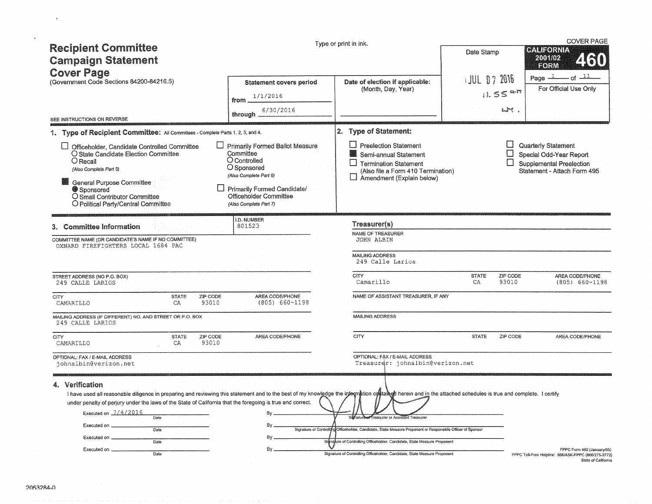| <b>Recipient Committee</b><br><b>Campaign Statement</b><br><b>Cover Page</b>                                                                                                                                                                                                                                                                                                                                                                                                   |                                                                                                                                                                                                 | Type or print in ink.                                                                                                                                                                                                        | Date Stamp                                                                | <b>COVER PAGE</b><br>CALIFORNIA<br>2001/02<br>EORM                                                                              |
|--------------------------------------------------------------------------------------------------------------------------------------------------------------------------------------------------------------------------------------------------------------------------------------------------------------------------------------------------------------------------------------------------------------------------------------------------------------------------------|-------------------------------------------------------------------------------------------------------------------------------------------------------------------------------------------------|------------------------------------------------------------------------------------------------------------------------------------------------------------------------------------------------------------------------------|---------------------------------------------------------------------------|---------------------------------------------------------------------------------------------------------------------------------|
| (Government Code Sections 84200-84216.5)                                                                                                                                                                                                                                                                                                                                                                                                                                       | <b>Statement covers period</b>                                                                                                                                                                  | Date of election if applicable:                                                                                                                                                                                              | <b>JUL 07 2016</b>                                                        | $-$ of $-11$<br>Page $-1$<br>For Official Use Only                                                                              |
|                                                                                                                                                                                                                                                                                                                                                                                                                                                                                | 1/1/2016<br>from                                                                                                                                                                                | (Month, Day, Year)                                                                                                                                                                                                           | $11.55$ a-m                                                               |                                                                                                                                 |
|                                                                                                                                                                                                                                                                                                                                                                                                                                                                                | 6/30/2016<br>through                                                                                                                                                                            |                                                                                                                                                                                                                              |                                                                           | Lim                                                                                                                             |
| SEE INSTRUCTIONS ON REVERSE                                                                                                                                                                                                                                                                                                                                                                                                                                                    |                                                                                                                                                                                                 |                                                                                                                                                                                                                              |                                                                           |                                                                                                                                 |
| 1. Type of Recipient Committee: All Committees - Complete Parts 1, 2, 3, and 4.                                                                                                                                                                                                                                                                                                                                                                                                |                                                                                                                                                                                                 | 2. Type of Statement:                                                                                                                                                                                                        |                                                                           |                                                                                                                                 |
| Officeholder, Candidate Controlled Committee<br>O State Candidate Election Committee<br>$O$ Recall<br>(Also Complete Part 5)<br><b>General Purpose Committee</b><br>Sponsored<br>O Small Contributor Committee<br>O Political Party/Central Committee                                                                                                                                                                                                                          | Primarily Formed Ballot Measure<br>Committee<br>O Controlled<br>O Sponsored<br>(Also Complete Part 6)<br>Primarily Formed Candidate/<br><b>Officeholder Committee</b><br>(Also Complete Part 7) | Preelection Statement<br>Semi-annual Statement<br><b>Termination Statement</b><br>(Also file a Form 410 Termination)<br>Amendment (Explain below)                                                                            |                                                                           | Quarterly Statement<br>U<br>Special Odd-Year Report<br>$\Box$<br><b>Supplemental Preelection</b><br>Statement - Attach Form 495 |
| 3. Committee Information                                                                                                                                                                                                                                                                                                                                                                                                                                                       | I.D. NUMBER<br>801523                                                                                                                                                                           | Treasurer(s)<br>NAME OF TREASURER                                                                                                                                                                                            |                                                                           |                                                                                                                                 |
| COMMITTEE NAME (OR CANDIDATE'S NAME IF NO COMMITTEE)<br>OXNARD FIREFIGHTERS LOCAL 1684 PAC<br>STREET ADDRESS (NO P.O. BOX)                                                                                                                                                                                                                                                                                                                                                     |                                                                                                                                                                                                 | <b>JOHN ALBIN</b><br><b>MAILING ADDRESS</b><br>249 Calle Larios<br>CITY                                                                                                                                                      | <b>STATE</b>                                                              | ZIP CODE<br>AREA CODE/PHONE                                                                                                     |
| 249 CALLE LARIOS                                                                                                                                                                                                                                                                                                                                                                                                                                                               |                                                                                                                                                                                                 | Camarillo                                                                                                                                                                                                                    | CA                                                                        | 93010<br>$(805) 660 - 1198$                                                                                                     |
| <b>CITY</b><br><b>STATE</b><br>ZIP CODE<br>93010<br>CAMARILLO<br>CA                                                                                                                                                                                                                                                                                                                                                                                                            | AREA CODE/PHONE<br>$(805)$ 660-1198                                                                                                                                                             | NAME OF ASSISTANT TREASURER, IF ANY                                                                                                                                                                                          |                                                                           |                                                                                                                                 |
| MAILING ADDRESS (IF DIFFERENT) NO. AND STREET OR P.O. BOX<br>249 CALLE LARIOS                                                                                                                                                                                                                                                                                                                                                                                                  |                                                                                                                                                                                                 | <b>MAILING ADDRESS</b>                                                                                                                                                                                                       |                                                                           |                                                                                                                                 |
| ZIP CODE<br><b>CITY</b><br><b>STATE</b><br>93010<br>CAMARILLO<br>CA                                                                                                                                                                                                                                                                                                                                                                                                            | AREA CODE/PHONE                                                                                                                                                                                 | <b>CITY</b>                                                                                                                                                                                                                  | <b>STATE</b>                                                              | ZIP CODE<br>AREA CODE/PHONE                                                                                                     |
| OPTIONAL: FAX / E-MAIL ADDRESS<br>johnalbin@verizon.net                                                                                                                                                                                                                                                                                                                                                                                                                        |                                                                                                                                                                                                 | OPTIONAL: FAX / E-MAIL ADDRESS<br>Treasurgr: johnalbin@verizon.net                                                                                                                                                           |                                                                           |                                                                                                                                 |
| 4. Verification<br>I have used all reasonable diligence in preparing and reviewing this statement and to the best of my knowledge the intermation contained herein and in the attached schedules is true and complete. I certify<br>under penalty of perjury under the laws of the State of California that the foregoing is true and correct.<br>Executed on 7/4/2016<br>Date<br>Executed on ____<br>$\overline{Date}$<br>Executed on _<br>$\overline{Date}$<br>Executed on _ | $By =$<br>By.<br>By.                                                                                                                                                                            | freasurer or Assistant Treasurer<br>Signature of Controlling Officeholder, Candidate, State Measure Proponent or Responsible Officer of Sponsor<br>Sienakure of Controlling Officeholder, Candidate, State Measure Proponent | Signature of Controlling Officeholder, Candidate, State Measure Proponent | FPPC Form 460 (January/05)                                                                                                      |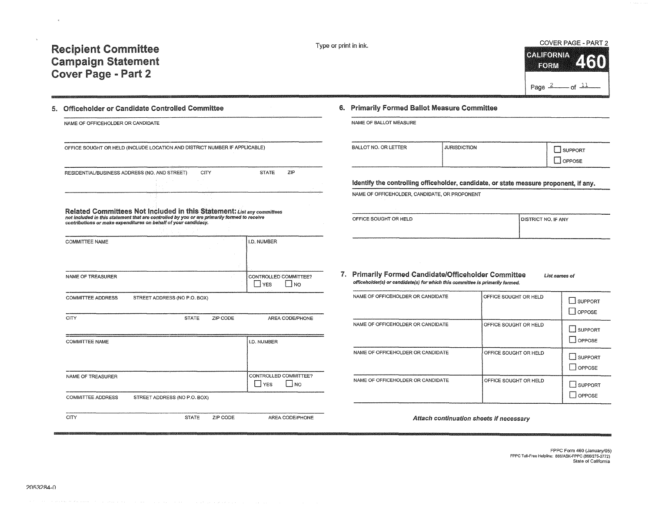Type or print in ink. COVER PAGE - PART 2 CALIFORNIA<br>FORM **lr©IRM 9111.1**  Page  $2 \rightarrow 0$ f  $11$ 

## 5. Officeholder or Candidate Controlled Committee

| NAME OF OFFICEHOLDER OR CANDIDATE |                                                                                                                                                                                                                                           |      |          |                                               | NAME OF BALLOT                        |
|-----------------------------------|-------------------------------------------------------------------------------------------------------------------------------------------------------------------------------------------------------------------------------------------|------|----------|-----------------------------------------------|---------------------------------------|
|                                   | OFFICE SOUGHT OR HELD (INCLUDE LOCATION AND DISTRICT NUMBER IF APPLICABLE)                                                                                                                                                                |      |          |                                               | BALLOT NO. OR L                       |
|                                   | RESIDENTIAL/BUSINESS ADDRESS (NO. AND STREET)                                                                                                                                                                                             | CITY |          | ZIP<br><b>STATE</b>                           |                                       |
|                                   |                                                                                                                                                                                                                                           |      |          |                                               | Identify the c                        |
|                                   |                                                                                                                                                                                                                                           |      |          |                                               | NAME OF OFFICE                        |
|                                   | Related Committees Not Included in this Statement: List any committees<br>not included in this statement that are controlled by you or are primarily formed to receive<br>contributions or make expenditures on behalf of your candidacy. |      |          |                                               | OFFICE SOUGHT                         |
| COMMITTEE NAME                    |                                                                                                                                                                                                                                           |      |          | I.D. NUMBER                                   |                                       |
| NAME OF TREASURER                 |                                                                                                                                                                                                                                           |      |          | CONTROLLED COMMITTEE?<br><b>YES</b><br>$ $ NO | 7. Primarily Fo<br>officeholder(s) or |
| COMMITTEE ADDRESS                 | STREET ADDRESS (NO P.O. BOX)                                                                                                                                                                                                              |      |          |                                               | NAME OF OFFICE                        |
| <b>CITY</b>                       | <b>STATE</b>                                                                                                                                                                                                                              |      | ZIP CODE | AREA CODE/PHONE                               | NAME OF OFFICE                        |
| COMMITTEE NAME                    |                                                                                                                                                                                                                                           |      |          | I.D. NUMBER                                   |                                       |
|                                   |                                                                                                                                                                                                                                           |      |          |                                               | NAME OF OFFICI                        |
| NAME OF TREASURER                 |                                                                                                                                                                                                                                           |      |          | CONTROLLED COMMITTEE?<br>∐ YES<br>∫ NO        | NAME OF OFFICI                        |
| COMMITTEE ADDRESS                 | STREET ADDRESS (NO P.O. BOX)                                                                                                                                                                                                              |      |          |                                               |                                       |
| CITY                              | <b>STATE</b>                                                                                                                                                                                                                              |      | ZIP CODE | AREA CODE/PHONE                               |                                       |

#### 6. Primarily Formed Ballot Measure Committee

|  | NAME OF BALLOT MEASURE |
|--|------------------------|
|  |                        |

| <b>BALLOT NO. OR LETTER</b>                                                                                                                                                                                                          | <b>JURISDICTION</b> | <b>UPPORT</b> |
|--------------------------------------------------------------------------------------------------------------------------------------------------------------------------------------------------------------------------------------|---------------------|---------------|
| $\blacksquare$ . The contract of the contract of the contract of the contract of the contract of the contract of the contract of the contract of the contract of the contract of the contract of the contract of the contract of the |                     | OPPOSE        |

#### ontrolling officeholder, candidate, or state measure proponent, if any.

**EHOLDER, CANDIDATE, OR PROPONENT** 

| OFFICE SOUGHT OR HELD | <b>DISTRICT NO. IF ANY</b> |
|-----------------------|----------------------------|
|                       |                            |
|                       |                            |

*1.* Primarily Formed Candidate/Officeholder Committee **List names of**  r candidate(s) for which this committee is primarily formed.

| NAME OF OFFICEHOLDER OR CANDIDATE | OFFICE SOUGHT OR HELD | SUPPORT<br>OPPOSE        |
|-----------------------------------|-----------------------|--------------------------|
| NAME OF OFFICEHOLDER OR CANDIDATE | OFFICE SOUGHT OR HELD | <b>SUPPORT</b><br>OPPOSE |
| NAME OF OFFICEHOLDER OR CANDIDATE | OFFICE SOUGHT OR HELD | SUPPORT<br>$\Box$ OPPOSE |
| NAME OF OFFICEHOLDER OR CANDIDATE | OFFICE SOUGHT OR HELD | <b>SUPPORT</b><br>OPPOSE |

*Attach continuation sheets* if *necessary*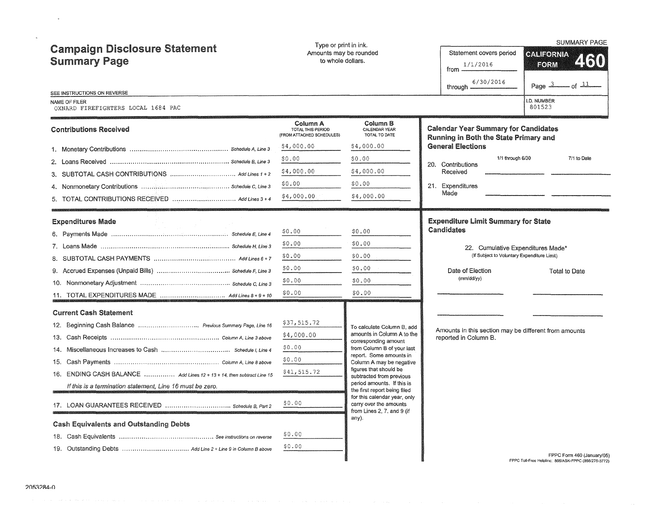| <b>Campaign Disclosure Statement</b><br><b>Summary Page</b><br>SEE INSTRUCTIONS ON REVERSE | Type or print in ink.<br>Amounts may be rounded<br>to whole dollars. |                                                                                      | Statement covers period<br>1/1/2016<br>from -<br>6/30/2016<br>through -              | <b>SUMMARY PAGE</b><br><b>CALIFORNIA</b><br>2130<br>EORM<br>$-$ of $\frac{11}{2}$<br>Page $3$ |  |  |
|--------------------------------------------------------------------------------------------|----------------------------------------------------------------------|--------------------------------------------------------------------------------------|--------------------------------------------------------------------------------------|-----------------------------------------------------------------------------------------------|--|--|
| NAME OF FILER<br>OXNARD FIREFIGHTERS LOCAL 1684 PAC                                        |                                                                      |                                                                                      |                                                                                      | .D. NUMBER<br>801523                                                                          |  |  |
| <b>Contributions Received</b>                                                              | Column A<br>TOTAL THIS PERIOD<br>(FROM ATTACHED SCHEDULES)           | Column B<br>CALENDAR YEAR<br>TOTAL TO DATE                                           | <b>Calendar Year Summary for Candidates</b><br>Running in Both the State Primary and |                                                                                               |  |  |
|                                                                                            | \$4,000.00                                                           | \$4,000.00                                                                           | <b>General Elections</b>                                                             |                                                                                               |  |  |
|                                                                                            | \$0.00                                                               | \$0.00                                                                               | 1/1 through 6/30<br>20. Contributions                                                | 7/1 to Date                                                                                   |  |  |
| 3. SUBTOTAL CASH CONTRIBUTIONS  Add Lines 1 + 2                                            | \$4,000.00                                                           | \$4,000.00                                                                           | Received                                                                             |                                                                                               |  |  |
|                                                                                            | \$0.00                                                               | \$0.00                                                                               | 21. Expenditures                                                                     |                                                                                               |  |  |
| 5. TOTAL CONTRIBUTIONS RECEIVED  Add Lines 3 + 4                                           | \$4,000.00                                                           | \$4,000.00                                                                           | Made                                                                                 |                                                                                               |  |  |
| <b>Expenditures Made</b>                                                                   |                                                                      |                                                                                      | <b>Expenditure Limit Summary for State</b>                                           |                                                                                               |  |  |
|                                                                                            | \$0.00                                                               | \$0.00                                                                               | Candidates                                                                           |                                                                                               |  |  |
|                                                                                            | \$0.00                                                               | \$0.00                                                                               | 22. Cumulative Expenditures Made*                                                    |                                                                                               |  |  |
|                                                                                            | \$0.00                                                               | \$0.00                                                                               | (If Subject to Voluntary Expenditure Limit)                                          |                                                                                               |  |  |
|                                                                                            | \$0.00                                                               | \$0.00                                                                               | Date of Election                                                                     | Total to Date                                                                                 |  |  |
|                                                                                            | \$0.00                                                               | \$0.00                                                                               | (mm/dd/yy)                                                                           |                                                                                               |  |  |
|                                                                                            | \$0.00                                                               | \$0.00                                                                               |                                                                                      |                                                                                               |  |  |
| <b>Current Cash Statement</b>                                                              |                                                                      |                                                                                      |                                                                                      |                                                                                               |  |  |
|                                                                                            | \$37,515.72                                                          | To calculate Column B, add                                                           | Amounts in this section may be different from amounts                                |                                                                                               |  |  |
|                                                                                            | \$4,000.00                                                           | amounts in Column A to the<br>corresponding amount                                   | reported in Column B.                                                                |                                                                                               |  |  |
|                                                                                            | \$0.00                                                               | from Column B of your last<br>report. Some amounts in                                |                                                                                      |                                                                                               |  |  |
|                                                                                            | \$0.00                                                               | Column A may be negative                                                             |                                                                                      |                                                                                               |  |  |
| 16. ENDING CASH BALANCE  Add Lines 12 + 13 + 14, then subtract Line 15                     | \$41,515.72                                                          | figures that should be<br>subtracted from previous                                   |                                                                                      |                                                                                               |  |  |
| If this is a termination statement, Line 16 must be zero.                                  |                                                                      | period amounts. If this is<br>the first report being filed                           |                                                                                      |                                                                                               |  |  |
|                                                                                            | \$0.00                                                               | for this calendar year, only<br>carry over the amounts<br>from Lines 2, 7, and 9 (if |                                                                                      |                                                                                               |  |  |
| <b>Cash Equivalents and Outstanding Debts</b>                                              |                                                                      | any).                                                                                |                                                                                      |                                                                                               |  |  |
|                                                                                            | \$0.00                                                               |                                                                                      |                                                                                      |                                                                                               |  |  |
|                                                                                            | \$0.00                                                               |                                                                                      |                                                                                      | FPPC Form 460 (January/05)<br>FPPC Toll-Free Helpline: 866/ASK-FPPC (866/275-3772)            |  |  |

FPPC Form 460 (January/OS) **FPPC Toll-Free Helpline: 866/ASK-FPPC (866/275-3772)** 

 $\mathcal{A}^{\mathcal{A}}$  ,  $\mathcal{A}^{\mathcal{A}}$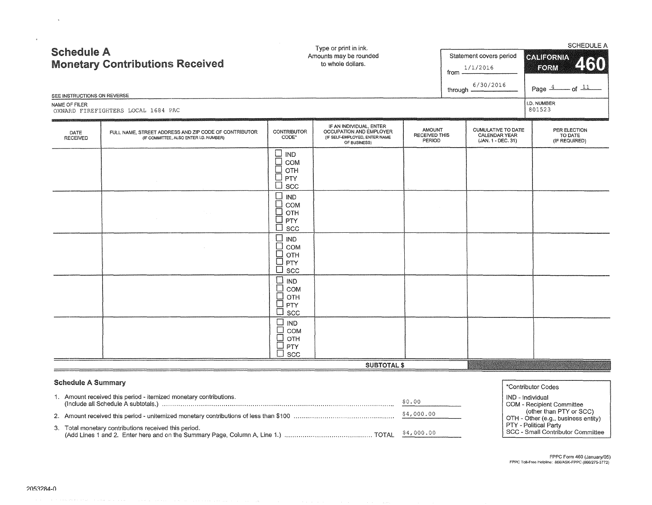| <b>Schedule A</b><br>SEE INSTRUCTIONS ON REVERSE<br>NAME OF FILER | <b>Monetary Contributions Received</b><br>OXNARD FIREFIGHTERS LOCAL 1684 PAC                    | Type or print in ink.<br>Amounts may be rounded<br>to whole dollars.              |                                                                                                     |                                                        |  | Statement covers period<br>1/1/2016<br>from $\equiv$<br>6/30/2016<br>through $\frac{1}{2}$ | <b>SCHEDULE A</b><br><b>CALIFORNIA</b><br>460<br><b>FORM</b><br>$-$ of $11$<br>Page $\stackrel{4}{\sim}$<br>I.D. NUMBER<br>801523 |  |  |
|-------------------------------------------------------------------|-------------------------------------------------------------------------------------------------|-----------------------------------------------------------------------------------|-----------------------------------------------------------------------------------------------------|--------------------------------------------------------|--|--------------------------------------------------------------------------------------------|-----------------------------------------------------------------------------------------------------------------------------------|--|--|
| DATE<br><b>RECEIVED</b>                                           | FULL NAME, STREET ADDRESS AND ZIP CODE OF CONTRIBUTOR<br>(IF COMMITTEE, ALSO ENTER I.D. NUMBER) | <b>CONTRIBUTOR</b><br>CODE*                                                       | IF AN INDIVIDUAL, ENTER<br>OCCUPATION AND EMPLOYER<br>(IF SELF-EMPLOYED, ENTER NAME<br>OF BUSINESS) | <b>AMOUNT</b><br><b>RECEIVED THIS</b><br><b>PERIOD</b> |  | <b>CUMULATIVE TO DATE</b><br>CALENDAR YEAR<br>(JAN. 1 - DEC. 31)                           | PER ELECTION<br>TO DATE<br>(IF REQUIRED)                                                                                          |  |  |
|                                                                   |                                                                                                 | $\square$ IND<br>$\square$ COM<br>$\square$ отн<br>$\square$ PTY<br>$\Box$<br>SCC |                                                                                                     |                                                        |  |                                                                                            |                                                                                                                                   |  |  |
|                                                                   |                                                                                                 | $\Box$<br><b>IND</b><br>$\Box$<br>COM<br>OTH<br>PTY<br>SCC                        |                                                                                                     |                                                        |  |                                                                                            |                                                                                                                                   |  |  |
|                                                                   |                                                                                                 | ⊔<br><b>IND</b><br>$\Box$<br>COM<br>$\Box$<br>OTH<br>PTY<br>□<br>SCC              |                                                                                                     |                                                        |  |                                                                                            |                                                                                                                                   |  |  |
|                                                                   |                                                                                                 | $\Box$<br><b>IND</b><br>COM<br>OTH<br>PTY<br>SCC                                  |                                                                                                     |                                                        |  |                                                                                            |                                                                                                                                   |  |  |

| <b>Schedule A Summary</b>                                         |            | *Contributor Codes                                              |
|-------------------------------------------------------------------|------------|-----------------------------------------------------------------|
| 1. Amount received this period - itemized monetary contributions. | \$0.00     | IND - Individual<br>COM - Recipient Committee                   |
|                                                                   | \$4,000.00 | (other than PTY or SCC)<br>(OTH - Other (e.g., business entity) |
| 3. Total monetary contributions received this period.             |            | PTY - Political Party<br>SCC - Small Contributor Committee      |

SUBTOTAL \$

 $\mathbf{\underline{\Box}}$  IND  $\square$  сом  $\sqcup$  отн  $\Box$  PTY  $\underline{\Box}$  scc

FPPC Form 460 (January/05) **FPPC Toll·Free Helpline: 866/ASK·FPPC (866/275·3772)** 

 $\bar{u}$ 

 $\lambda$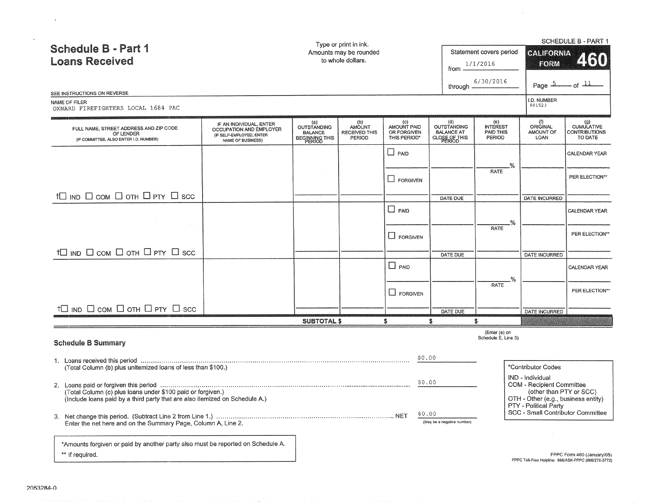|                                                                                                                                            |                                                                                                     |                                                        | Type or print in ink.                           |                                                   |                                                   |                                        |                                                                                         | <b>SCHEDULE B - PART 1</b>                             |
|--------------------------------------------------------------------------------------------------------------------------------------------|-----------------------------------------------------------------------------------------------------|--------------------------------------------------------|-------------------------------------------------|---------------------------------------------------|---------------------------------------------------|----------------------------------------|-----------------------------------------------------------------------------------------|--------------------------------------------------------|
| <b>Schedule B - Part 1</b><br><b>Loans Received</b>                                                                                        |                                                                                                     |                                                        | Amounts may be rounded<br>to whole dollars.     |                                                   |                                                   | Statement covers period<br>1/1/2016    | <b>CALIFORNIA</b><br>FORM                                                               | 2510                                                   |
|                                                                                                                                            |                                                                                                     |                                                        |                                                 |                                                   | from                                              |                                        |                                                                                         |                                                        |
| SEE INSTRUCTIONS ON REVERSE                                                                                                                |                                                                                                     |                                                        |                                                 |                                                   | through -                                         | 6/30/2016                              | Page 5                                                                                  | $-$ of $\frac{11}{2}$                                  |
| NAME OF FILER<br>OXNARD FIREFIGHTERS LOCAL 1684 PAC                                                                                        |                                                                                                     |                                                        |                                                 |                                                   |                                                   |                                        | I.D. NUMBER<br>801523                                                                   |                                                        |
| FULL NAME, STREET ADDRESS AND ZIP CODE<br>OF LENDER<br>(IF COMMITTEE, ALSO ENTER I.D. NUMBER)                                              | IF AN INDIVIDUAL, ENTER<br>OCCUPATION AND EMPLOYER<br>(IF SELF-EMPLOYED, ENTER<br>NAME OF BUSINESS) | (a)<br>OUTSTANDING<br>BALANCE<br><b>BEGINNING THIS</b> | (b)<br>AMOUNT<br><b>RECEIVED THIS</b><br>PERIOD | (C)<br>AMOUNT PAID<br>OR FORGIVEN<br>THIS PERIOD* | (d)<br>OUTSTANDING<br>BALANCE AT<br>CLOSE OF THIS | (e)<br>INTEREST<br>PAID THIS<br>PERIOD | (f)<br>ORIGINAL<br>AMOUNT OF<br>LOAN                                                    | $(9)$<br>CUMULATIVE<br><b>CONTRIBUTIONS</b><br>TO DATE |
|                                                                                                                                            |                                                                                                     |                                                        |                                                 | $\Box$ PAID                                       |                                                   | .%                                     |                                                                                         | CALENDAR YEAR                                          |
|                                                                                                                                            |                                                                                                     |                                                        |                                                 | $\Box$ FORGIVEN                                   |                                                   | <b>RATE</b>                            |                                                                                         | PER ELECTION**                                         |
| $+ \Box$ ind $\Box$ com $\Box$ oth $\Box$ pty $\Box$ scc                                                                                   |                                                                                                     |                                                        |                                                 |                                                   | DATE DUE                                          |                                        | DATE INCURRED                                                                           |                                                        |
|                                                                                                                                            |                                                                                                     |                                                        |                                                 | $\Box$ PAID                                       |                                                   |                                        |                                                                                         | CALENDAR YEAR                                          |
|                                                                                                                                            |                                                                                                     |                                                        |                                                 | $\Box$ FORGIVEN                                   |                                                   | .%<br><b>RATE</b>                      |                                                                                         | PER ELECTION**                                         |
| $+ \Box$ ind $\Box$ com $\Box$ oth $\Box$ pty $\Box$ scc                                                                                   |                                                                                                     |                                                        |                                                 |                                                   | DATE DUE                                          |                                        | <b>DATE INCURRED</b>                                                                    |                                                        |
|                                                                                                                                            |                                                                                                     |                                                        |                                                 | $\Box$ PAID                                       |                                                   |                                        |                                                                                         | CALENDAR YEAR                                          |
|                                                                                                                                            |                                                                                                     |                                                        |                                                 | $\square$ FORGIVEN                                |                                                   | -%<br><b>RATE</b>                      |                                                                                         | PER ELECTION**                                         |
| †□ IND □ сом □ отн □ PTY □ scc                                                                                                             |                                                                                                     |                                                        |                                                 |                                                   | DATE DUE                                          |                                        | DATE INCURRED                                                                           |                                                        |
|                                                                                                                                            |                                                                                                     | <b>SUBTOTAL \$</b>                                     |                                                 | s                                                 | S                                                 | S                                      |                                                                                         |                                                        |
| <b>Schedule B Summary</b>                                                                                                                  |                                                                                                     |                                                        |                                                 |                                                   |                                                   | (Enter (e) on<br>Schedule E. Line 3)   |                                                                                         |                                                        |
|                                                                                                                                            |                                                                                                     |                                                        |                                                 | \$0.00                                            |                                                   |                                        |                                                                                         |                                                        |
| (Total Column (b) plus unitemized loans of less than \$100.)                                                                               |                                                                                                     |                                                        |                                                 |                                                   |                                                   |                                        | *Contributor Codes                                                                      |                                                        |
|                                                                                                                                            |                                                                                                     |                                                        |                                                 | \$0.00                                            |                                                   |                                        | IND - Individual<br>COM - Recipient Committee                                           |                                                        |
| (Total Column (c) plus loans under \$100 paid or forgiven.)<br>(Include loans paid by a third party that are also itemized on Schedule A.) |                                                                                                     |                                                        |                                                 |                                                   |                                                   |                                        | (other than PTY or SCC)<br>OTH - Other (e.g., business entity)<br>PTY - Political Party |                                                        |
| Enter the net here and on the Summary Page, Column A, Line 2.                                                                              |                                                                                                     |                                                        |                                                 | \$0.00                                            | (May be a negative number)                        |                                        | SCC - Small Contributor Committee                                                       |                                                        |
| *Amounts forgiven or paid by another party also must be reported on Schedule A.                                                            |                                                                                                     |                                                        |                                                 |                                                   |                                                   |                                        |                                                                                         |                                                        |
| ** If required.                                                                                                                            |                                                                                                     |                                                        |                                                 |                                                   |                                                   |                                        | FPPC Toll-Free Helpline: 866/ASK-FPPC (866/275-3772)                                    | FPPC Form 460 (January/05)                             |

 $\sim 10^7$ 

والمهدي والمائد فبالمواصل والمروان المنادر والمنافر والمتعاقد والمنافر والمتعارف واستوقا وقالحا فبالاستقادة ستعير

 $\sim 10^7$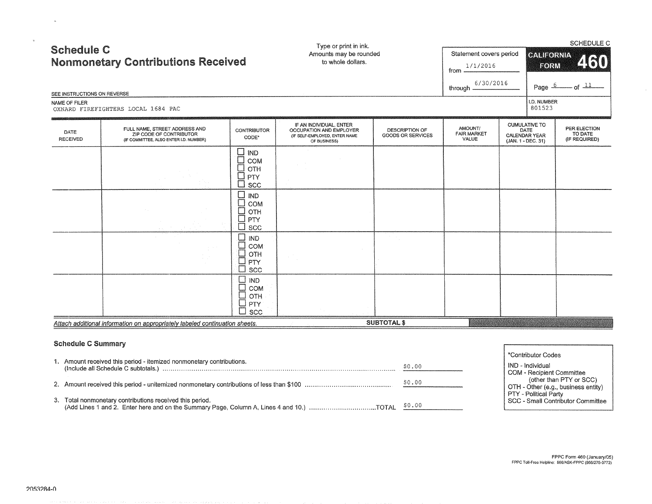| <b>Schedule C</b><br>SEE INSTRUCTIONS ON REVERSE<br>NAME OF FILER | <b>Nonmonetary Contributions Received</b><br>OXNARD FIREFIGHTERS LOCAL 1684 PAC                    |                                                                                                                                            | Type or print in ink.<br>Amounts may be rounded<br>to whole dollars.                                |                                                   | Statement covers period<br>1/1/2016<br>from<br>6/30/2016<br>through - |                                                                            | CALIFORNIA<br>FORM<br>Page 6<br><b>I.D. NUMBER</b><br>801523 | SCHEDULE C<br>460<br>$-$ of $\frac{11}{2}$ |
|-------------------------------------------------------------------|----------------------------------------------------------------------------------------------------|--------------------------------------------------------------------------------------------------------------------------------------------|-----------------------------------------------------------------------------------------------------|---------------------------------------------------|-----------------------------------------------------------------------|----------------------------------------------------------------------------|--------------------------------------------------------------|--------------------------------------------|
| DATE<br><b>RECEIVED</b>                                           | FULL NAME, STREET ADDRESS AND<br>ZIP CODE OF CONTRIBUTOR<br>(IF COMMITTEE, ALSO ENTER I.D. NUMBER) | <b>CONTRIBUTOR</b><br>CODE*                                                                                                                | IF AN INDIVIDUAL, ENTER<br>OCCUPATION AND EMPLOYER<br>(IF SELF-EMPLOYED, ENTER NAME<br>OF BUSINESS) | <b>DESCRIPTION OF</b><br><b>GOODS OR SERVICES</b> | AMOUNT/<br><b>FAIR MARKET</b><br>VALUE                                | <b>CUMULATIVE TO</b><br>DATE<br><b>CALENDAR YEAR</b><br>(JAN. 1 - DEC. 31) |                                                              | PER ELECTION<br>TO DATE<br>(IF REQUIRED)   |
|                                                                   |                                                                                                    | $\square$ IND<br>$\Box$<br>COM<br>$\Box$<br>OTH<br>$\Box$<br>PTY<br>SCC<br>∃<br><b>IND</b><br>$\Box$<br>COM<br>$\Box$<br>OTH<br>PTY<br>SCC |                                                                                                     |                                                   |                                                                       |                                                                            |                                                              |                                            |
|                                                                   |                                                                                                    | ⊏<br>IND<br>$\Box$<br>COM<br>⊑<br>OTH<br>$\Box$<br>PTY<br>П<br>SCC<br>⊡<br><b>IND</b>                                                      |                                                                                                     |                                                   |                                                                       |                                                                            |                                                              |                                            |
|                                                                   | Attach additional information on appropriately labeled continuation sheets.                        | $\Box$<br>COM<br>$\Box$<br>OTH<br>PTY<br>$\Box$<br><b>SCC</b>                                                                              |                                                                                                     | <b>SUBTOTAL \$</b>                                |                                                                       |                                                                            |                                                              |                                            |

# Schedule C Summary

 $\sim$   $\sim$ 

 $\mathbf{x}^{\top}$ 

|                                                                                                 |        | *Contributor Codes                                           |
|-------------------------------------------------------------------------------------------------|--------|--------------------------------------------------------------|
| 1. Amount received this period - itemized nonmonetary contributions.                            | \$0.00 | IND - Individual                                             |
|                                                                                                 |        | COM - Recipient Committee                                    |
|                                                                                                 | \$0.00 | (other than PTY or SCC)                                      |
|                                                                                                 |        | OTH - Other (e.g., business entity)<br>PTY - Political Party |
| 3. Total nonmonetary contributions received this period.                                        |        | SCC - Small Contributor Committee                            |
| (Add Lines 1 and 2. Enter here and on the Summary Page, Column A, Lines 4 and 10.) TOTAL \$0.00 |        |                                                              |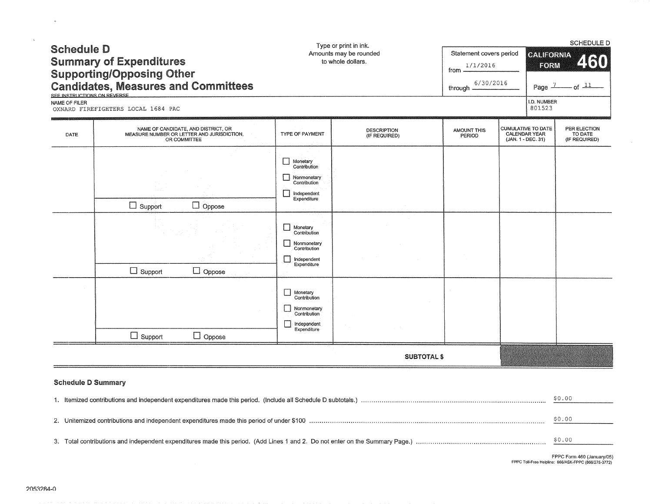| <b>Schedule D</b><br><b>Summary of Expenditures</b><br><b>Supporting/Opposing Other</b><br><b>Candidates, Measures and Committees</b><br>SEE INSTRUCTIONS ON BEVERSE |                                    |                                                                                                   |                                                                                                                                                                                                                                                                                | Type or print in ink.<br>Amounts may be rounded<br>to whole dollars. | Statement covers period<br>1/1/2016<br>from<br>6/30/2016<br>through $-$ |                                                                  | <b>SCHEDULE D</b><br><b>CALIFORNIA</b><br>250<br>FORM<br>$-$ of $\frac{11}{1}$<br>Page $\frac{1}{2}$ |                                          |  |  |
|----------------------------------------------------------------------------------------------------------------------------------------------------------------------|------------------------------------|---------------------------------------------------------------------------------------------------|--------------------------------------------------------------------------------------------------------------------------------------------------------------------------------------------------------------------------------------------------------------------------------|----------------------------------------------------------------------|-------------------------------------------------------------------------|------------------------------------------------------------------|------------------------------------------------------------------------------------------------------|------------------------------------------|--|--|
| NAME OF FILER                                                                                                                                                        | OXNARD FIREFIGHTERS LOCAL 1684 PAC |                                                                                                   |                                                                                                                                                                                                                                                                                |                                                                      |                                                                         |                                                                  | I.D. NUMBER<br>801523                                                                                |                                          |  |  |
| DATE                                                                                                                                                                 |                                    | NAME OF CANDIDATE, AND DISTRICT, OR<br>MEASURE NUMBER OR LETTER AND JURISDICTION,<br>OR COMMITTEE | TYPE OF PAYMENT                                                                                                                                                                                                                                                                | <b>DESCRIPTION</b><br>(IF REQUIRED)                                  | <b>AMOUNT THIS</b><br>PERIOD                                            | <b>CUMULATIVE TO DATE</b><br>CALENDAR YEAR<br>(JAN. 1 - DEC. 31) |                                                                                                      | PER ELECTION<br>TO DATE<br>(IF REQUIRED) |  |  |
|                                                                                                                                                                      | $\Box$ Support<br>$\Box$ Support   | $\Box$ Oppose<br>$\Box$ Oppose                                                                    | l 1<br>Monetary<br>Contribution<br>Nonmonetary<br>Contribution<br>independent<br>Expenditure<br>Monetary<br>Contribution<br>Nonmonetary<br>Contribution<br>Independent<br>Expenditure<br>Monetary<br>Contribution<br>Nonmonetary<br>Contribution<br>Independent<br>Expenditure |                                                                      |                                                                         |                                                                  |                                                                                                      |                                          |  |  |
|                                                                                                                                                                      | $\Box$ Support                     | $\Box$ Oppose                                                                                     |                                                                                                                                                                                                                                                                                |                                                                      |                                                                         |                                                                  |                                                                                                      |                                          |  |  |
|                                                                                                                                                                      |                                    |                                                                                                   |                                                                                                                                                                                                                                                                                | <b>SUBTOTAL \$</b>                                                   |                                                                         |                                                                  |                                                                                                      |                                          |  |  |
| <b>Schedule D Summary</b>                                                                                                                                            |                                    |                                                                                                   |                                                                                                                                                                                                                                                                                |                                                                      |                                                                         |                                                                  |                                                                                                      | \$0.00                                   |  |  |
|                                                                                                                                                                      |                                    |                                                                                                   |                                                                                                                                                                                                                                                                                |                                                                      |                                                                         |                                                                  | \$0.00                                                                                               |                                          |  |  |
|                                                                                                                                                                      |                                    |                                                                                                   |                                                                                                                                                                                                                                                                                |                                                                      |                                                                         |                                                                  |                                                                                                      | \$0.00                                   |  |  |

FPPC Form 460 (January/05) **FPPC Toll·Free Helpline:** 866/ASK~FPPC (866/275~3772)

 $\sim 10^{-1}$ 

 $\sim$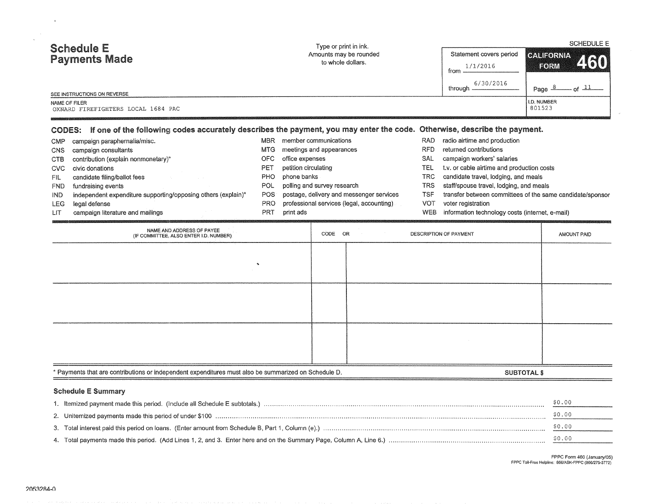| <b>Schedule E</b><br><b>Payments Made</b><br>SEE INSTRUCTIONS ON REVERSE<br>NAME OF FILER |                                                                                                                                 |                   | Type or print in ink.<br>Amounts may be rounded<br>to whole dollars. |                                           |                          | Statement covers period<br>1/1/2016<br>from<br>6/30/2016                           | <b>SCHEDULE E</b><br><b>CALIFORNIA</b><br>250<br>EORM     |
|-------------------------------------------------------------------------------------------|---------------------------------------------------------------------------------------------------------------------------------|-------------------|----------------------------------------------------------------------|-------------------------------------------|--------------------------|------------------------------------------------------------------------------------|-----------------------------------------------------------|
|                                                                                           |                                                                                                                                 |                   |                                                                      |                                           |                          | through -                                                                          | $of$ $\perp$<br>Page 8                                    |
|                                                                                           | OXNARD FIREFIGHTERS LOCAL 1684 PAC                                                                                              |                   |                                                                      |                                           | I.D. NUMBER<br>801523    |                                                                                    |                                                           |
|                                                                                           | CODES: If one of the following codes accurately describes the payment, you may enter the code. Otherwise, describe the payment. |                   |                                                                      |                                           |                          |                                                                                    |                                                           |
| CMP                                                                                       | campaign paraphernalia/misc.                                                                                                    | MBR               |                                                                      | member communications                     | <b>RAD</b>               | radio airtime and production                                                       |                                                           |
| <b>CNS</b><br>campaign consultants                                                        |                                                                                                                                 | MTG               |                                                                      | meetings and appearances                  | <b>RFD</b>               | returned contributions                                                             |                                                           |
| <b>CTB</b>                                                                                | contribution (explain nonmonetary)*                                                                                             | <b>OFC</b>        | office expenses                                                      |                                           | SAL                      | campaign workers' salaries                                                         |                                                           |
| <b>CVC</b>                                                                                | civic donations                                                                                                                 | <b>PET</b><br>PHO | petition circulating<br>phone banks                                  |                                           | <b>TEL</b><br><b>TRC</b> | t.v. or cable airtime and production costs<br>candidate travel, lodging, and meals |                                                           |
| <b>FIL</b><br><b>FND</b>                                                                  | candidate filing/ballot fees<br>fundraising events                                                                              | POL               |                                                                      | polling and survey research               | <b>TRS</b>               | staff/spouse travel, lodging, and meals                                            |                                                           |
| <b>IND</b>                                                                                | independent expenditure supporting/opposing others (explain)*                                                                   | POS               |                                                                      | postage, delivery and messenger services  | <b>TSF</b>               |                                                                                    | transfer between committees of the same candidate/sponsor |
| LEG                                                                                       | legal defense                                                                                                                   | PRO               |                                                                      | professional services (legal, accounting) | <b>VOT</b>               | voter registration                                                                 |                                                           |
| LIT                                                                                       | campaign literature and mailings                                                                                                | <b>PRT</b>        | print ads                                                            |                                           | <b>WEB</b>               | information technology costs (internet, e-mail)                                    |                                                           |
|                                                                                           | NAME AND ADDRESS OF PAYEE<br>(IF COMMITTEE, ALSO ENTER I.D. NUMBER)                                                             | i,                |                                                                      | CODE OR                                   |                          | DESCRIPTION OF PAYMENT                                                             | AMOUNT PAID                                               |
|                                                                                           |                                                                                                                                 |                   |                                                                      |                                           |                          |                                                                                    |                                                           |
|                                                                                           |                                                                                                                                 |                   |                                                                      |                                           |                          |                                                                                    |                                                           |
|                                                                                           | * Payments that are contributions or independent expenditures must also be summarized on Schedule D.                            |                   |                                                                      |                                           |                          |                                                                                    | <b>SUBTOTAL \$</b>                                        |
|                                                                                           | <b>Schedule E Summary</b>                                                                                                       |                   |                                                                      |                                           |                          |                                                                                    |                                                           |
|                                                                                           |                                                                                                                                 |                   |                                                                      |                                           |                          |                                                                                    | \$0.00                                                    |
|                                                                                           |                                                                                                                                 |                   |                                                                      |                                           |                          |                                                                                    | \$0.00                                                    |
| 3.                                                                                        |                                                                                                                                 |                   |                                                                      |                                           |                          |                                                                                    | \$0.00                                                    |
|                                                                                           |                                                                                                                                 |                   |                                                                      |                                           |                          |                                                                                    |                                                           |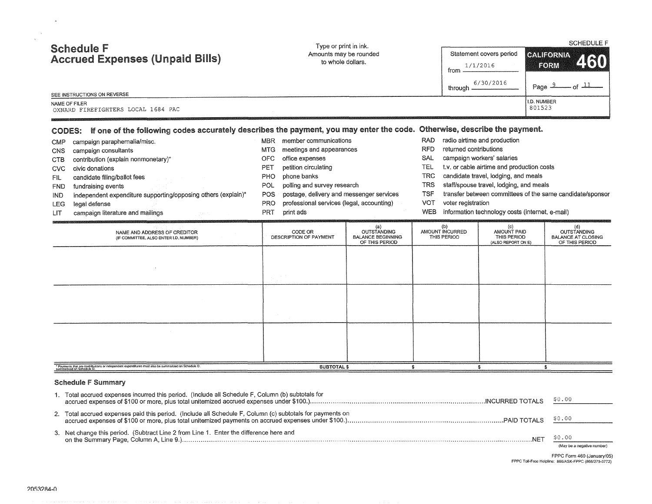| <b>Schedule F</b><br><b>Accrued Expenses (Unpaid Bills)</b><br>SEE INSTRUCTIONS ON REVERSE                                                                                                                                                                                                                                                                                                                 | Type or print in ink.                                                                                                                                                                                                                                                                                                                                  | Amounts may be rounded<br>to whole dollars.                             | from.<br>through $-$                                                                                                                                   | Statement covers period<br>1/1/2016<br>6/30/2016                                                                                                                                                                                               | <b>SCHEDULE F</b><br><b>CALIFORNIA</b><br><b>FORM</b><br>Page 2          |  |
|------------------------------------------------------------------------------------------------------------------------------------------------------------------------------------------------------------------------------------------------------------------------------------------------------------------------------------------------------------------------------------------------------------|--------------------------------------------------------------------------------------------------------------------------------------------------------------------------------------------------------------------------------------------------------------------------------------------------------------------------------------------------------|-------------------------------------------------------------------------|--------------------------------------------------------------------------------------------------------------------------------------------------------|------------------------------------------------------------------------------------------------------------------------------------------------------------------------------------------------------------------------------------------------|--------------------------------------------------------------------------|--|
| NAME OF FILER<br>OXNARD FIREFIGHTERS LOCAL 1684 PAC<br>CODES: If one of the following codes accurately describes the payment, you may enter the code. Otherwise, describe the payment.                                                                                                                                                                                                                     |                                                                                                                                                                                                                                                                                                                                                        |                                                                         |                                                                                                                                                        |                                                                                                                                                                                                                                                | I.D. NUMBER<br>801523                                                    |  |
| campaign paraphernalia/misc.<br><b>CMP</b><br>campaign consultants<br><b>CNS</b><br>contribution (explain nonmonetary)*<br><b>CTB</b><br>civic donations<br><b>CVC</b><br>candidate filing/ballot fees<br>FIL<br>fundraising events<br><b>FND</b><br>independent expenditure supporting/opposing others (explain)*<br><b>IND</b><br>legal defense<br><b>LEG</b><br>campaign literature and mailings<br>LIT | MBR member communications<br>meetings and appearances<br><b>MTG</b><br><b>OFC</b><br>office expenses<br>petition circulating<br>PET<br>phone banks<br><b>PHO</b><br>polling and survey research<br><b>POL</b><br>postage, delivery and messenger services<br><b>POS</b><br>professional services (legal, accounting)<br><b>PRO</b><br>PRT<br>print ads |                                                                         | RAD.<br><b>RFD</b><br>returned contributions<br><b>SAL</b><br><b>TEL</b><br><b>TRC</b><br>TRS<br>TSF<br><b>VOT</b><br>voter registration<br><b>WEB</b> | radio airtime and production<br>campaign workers' salaries<br>t.v. or cable airtime and production costs<br>candidate travel, lodging, and meals<br>staff/spouse travel, lodging, and meals<br>information technology costs (internet, e-mail) | transfer between committees of the same candidate/sponsor                |  |
| NAME AND ADDRESS OF CREDITOR<br>(IF COMMITTEE, ALSO ENTER I.D. NUMBER)                                                                                                                                                                                                                                                                                                                                     | CODE OR<br><b>DESCRIPTION OF PAYMENT</b>                                                                                                                                                                                                                                                                                                               | (a)<br><b>OUTSTANDING</b><br><b>BALANCE BEGINNING</b><br>OF THIS PERIOD | (b)<br>AMOUNT INCURRED<br>THIS PERIOD                                                                                                                  | (c)<br>AMOUNT PAID<br>THIS PERIOD<br>(ALSO REPORT ON E)                                                                                                                                                                                        | (d)<br><b>OUTSTANDING</b><br><b>BALANCE AT CLOSING</b><br>OF THIS PERIOD |  |
|                                                                                                                                                                                                                                                                                                                                                                                                            |                                                                                                                                                                                                                                                                                                                                                        |                                                                         |                                                                                                                                                        |                                                                                                                                                                                                                                                |                                                                          |  |
|                                                                                                                                                                                                                                                                                                                                                                                                            |                                                                                                                                                                                                                                                                                                                                                        |                                                                         |                                                                                                                                                        |                                                                                                                                                                                                                                                |                                                                          |  |
|                                                                                                                                                                                                                                                                                                                                                                                                            |                                                                                                                                                                                                                                                                                                                                                        |                                                                         |                                                                                                                                                        |                                                                                                                                                                                                                                                |                                                                          |  |
| .<br>* Payments that are contributions or independent expenditures must also be summarized on Schedule D.                                                                                                                                                                                                                                                                                                  | <b>SUBTOTAL \$</b>                                                                                                                                                                                                                                                                                                                                     |                                                                         | £                                                                                                                                                      | s.                                                                                                                                                                                                                                             | \$                                                                       |  |

## Schedule F Summary

| Total accrued expenses incurred this period. (Include all Schedule F, Column (b) subtotals for            | \$0.00                               |
|-----------------------------------------------------------------------------------------------------------|--------------------------------------|
| 2. Total accrued expenses paid this period. (Include all Schedule F, Column (c) subtotals for payments on |                                      |
| 3. Net change this period. (Subtract Line 2 from Line 1. Enter the difference here and<br><b>NFT</b>      | \$0.00<br>(May be a negative number) |

FPPC Form 460 (January/05) **FPPC** Toll~Free **Helptine:** 866/ASK~FPPC {866/275~3772}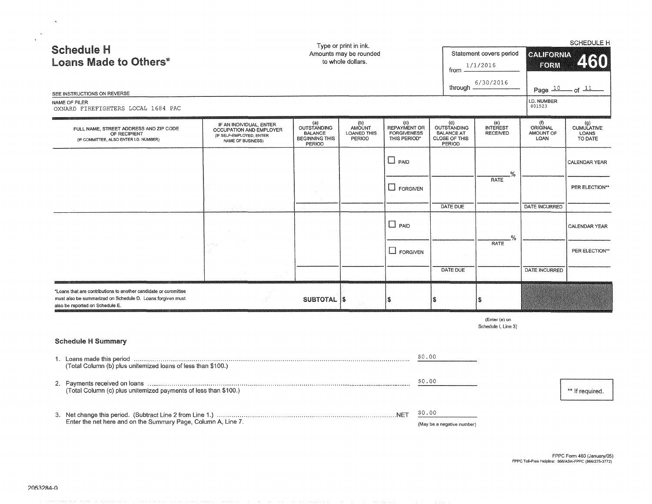| <b>Schedule H</b><br><b>Loans Made to Others*</b><br>SEE INSTRUCTIONS ON REVERSE<br>NAME OF FILER<br>OXNARD FIREFIGHTERS LOCAL 1684 PAC                          |                                                                                                     |                                                                                | Type or print in ink.<br>Amounts may be rounded<br>to whole dollars. |                                                           | from $-$                                                           | Statement covers period<br>1/1/2016<br>6/30/2016<br>through $\equiv$ | <b>GALIFORNIA</b><br>FORM<br>I.D. NUMBER<br>801523 | SCHEDULE H<br>250<br>Page $\frac{10}{10}$ of $\frac{11}{10}$ |
|------------------------------------------------------------------------------------------------------------------------------------------------------------------|-----------------------------------------------------------------------------------------------------|--------------------------------------------------------------------------------|----------------------------------------------------------------------|-----------------------------------------------------------|--------------------------------------------------------------------|----------------------------------------------------------------------|----------------------------------------------------|--------------------------------------------------------------|
| FULL NAME, STREET ADDRESS AND ZIP CODE<br>OF RECIPIENT<br>(IF COMMITTEE, ALSO ENTER I.D. NUMBER)                                                                 | IF AN INDIVIDUAL, ENTER<br>OCCUPATION AND EMPLOYER<br>(IF SELF-EMPLOYED, ENTER<br>NAME OF BUSINESS) | (a)<br><b>OUTSTANDING</b><br><b>BALANCE</b><br><b>BEGINNING THIS</b><br>PERIOD | (b)<br>AMOUNT<br>LOANED THIS<br>PERIOD                               | (c)<br>REPAYMENT OR<br><b>FORGIVENESS</b><br>THIS PERIOD* | (d)<br>OUTSTANDING<br><b>BALANCE AT</b><br>CLOSE OF THIS<br>PERIOD | (e)<br><b>INTEREST</b><br><b>RECEIVED</b>                            | (1)<br>ORIGINAL<br>AMOUNT OF<br>LOAN               | (g)<br>CUMULATIVE<br>LOANS<br>TO DATE                        |
|                                                                                                                                                                  |                                                                                                     |                                                                                |                                                                      | $\Box$ PAID                                               |                                                                    | %.                                                                   |                                                    | CALENDAR YEAR                                                |
|                                                                                                                                                                  |                                                                                                     |                                                                                |                                                                      | <b>L</b> FORGIVEN                                         |                                                                    | <b>RATE</b>                                                          |                                                    | PER ELECTION**                                               |
|                                                                                                                                                                  |                                                                                                     |                                                                                |                                                                      | $\Box$ PAID                                               | DATE DUE                                                           |                                                                      | <b>DATE INCURRED</b>                               | CALENDAR YEAR                                                |
|                                                                                                                                                                  |                                                                                                     |                                                                                |                                                                      | $\Box$ FORGIVEN                                           |                                                                    | %.<br><b>RATE</b>                                                    |                                                    | PER ELECTION**                                               |
|                                                                                                                                                                  |                                                                                                     |                                                                                |                                                                      |                                                           | DATE DUE                                                           |                                                                      | DATE INCURRED                                      |                                                              |
| *Loans that are contributions to another candidate or committee<br>must also be summarized on Schedule D. Loans forgiven must<br>also be reported on Schedule E. |                                                                                                     | SUBTOTAL  \$                                                                   |                                                                      | \$                                                        | \$                                                                 | S                                                                    |                                                    |                                                              |
|                                                                                                                                                                  |                                                                                                     |                                                                                |                                                                      |                                                           |                                                                    | (Enter (e) on<br>Schedule I, Line 3)                                 |                                                    |                                                              |
| <b>Schedule H Summary</b>                                                                                                                                        |                                                                                                     |                                                                                |                                                                      |                                                           |                                                                    |                                                                      |                                                    |                                                              |
| (Total Column (b) plus unitemized loans of less than \$100.)                                                                                                     |                                                                                                     |                                                                                |                                                                      |                                                           | \$0.00                                                             |                                                                      |                                                    |                                                              |
| (Total Column (c) plus unitemized payments of less than \$100.)                                                                                                  |                                                                                                     |                                                                                |                                                                      |                                                           | \$0.00                                                             |                                                                      |                                                    | ** If required.                                              |
|                                                                                                                                                                  |                                                                                                     |                                                                                |                                                                      |                                                           | \$0.00                                                             |                                                                      |                                                    |                                                              |
| Enter the net here and on the Summary Page, Column A, Line 7.                                                                                                    |                                                                                                     |                                                                                |                                                                      |                                                           | (May be a negative number)                                         |                                                                      |                                                    |                                                              |